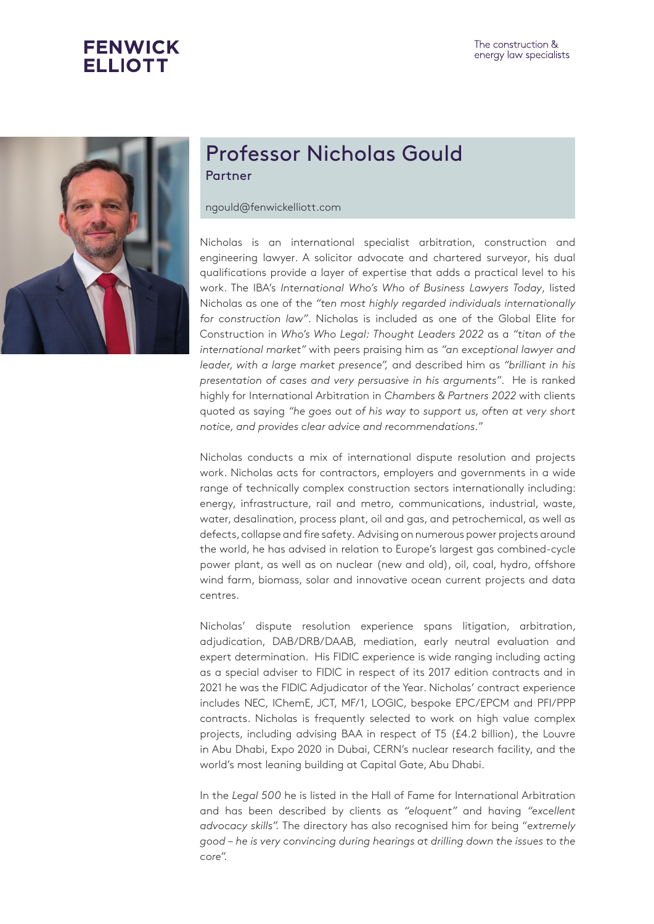



## Professor Nicholas Gould Partner

ngould@fenwickelliott.com

Nicholas is an international specialist arbitration, construction and engineering lawyer. A solicitor advocate and chartered surveyor, his dual qualifications provide a layer of expertise that adds a practical level to his work. The IBA's *International Who's Who of Business Lawyers Today*, listed Nicholas as one of the *"ten most highly regarded individuals internationally for construction law"*. Nicholas is included as one of the Global Elite for Construction in *Who's Who Legal: Thought Leaders 2022* as a *"titan of the international market"* with peers praising him as *"an exceptional lawyer and leader, with a large market presence",* and described him as *"brilliant in his presentation of cases and very persuasive in his arguments"*. He is ranked highly for International Arbitration in *Chambers & Partners 2022* with clients quoted as saying *"he goes out of his way to support us, often at very short notice, and provides clear advice and recommendations."*

Nicholas conducts a mix of international dispute resolution and projects work. Nicholas acts for contractors, employers and governments in a wide range of technically complex construction sectors internationally including: energy, infrastructure, rail and metro, communications, industrial, waste, water, desalination, process plant, oil and gas, and petrochemical, as well as defects, collapse and fire safety. Advising on numerous power projects around the world, he has advised in relation to Europe's largest gas combined-cycle power plant, as well as on nuclear (new and old), oil, coal, hydro, offshore wind farm, biomass, solar and innovative ocean current projects and data centres.

Nicholas' dispute resolution experience spans litigation, arbitration, adjudication, DAB/DRB/DAAB, mediation, early neutral evaluation and expert determination. His FIDIC experience is wide ranging including acting as a special adviser to FIDIC in respect of its 2017 edition contracts and in 2021 he was the FIDIC Adjudicator of the Year. Nicholas' contract experience includes NEC, IChemE, JCT, MF/1, LOGIC, bespoke EPC/EPCM and PFI/PPP contracts. Nicholas is frequently selected to work on high value complex projects, including advising BAA in respect of T5 (£4.2 billion), the Louvre in Abu Dhabi, Expo 2020 in Dubai, CERN's nuclear research facility, and the world's most leaning building at Capital Gate, Abu Dhabi.

In the *Legal 500* he is listed in the Hall of Fame for International Arbitration and has been described by clients as *"eloquent"* and having *"excellent advocacy skills".* The directory has also recognised him for being "*extremely good – he is very convincing during hearings at drilling down the issues to the core".*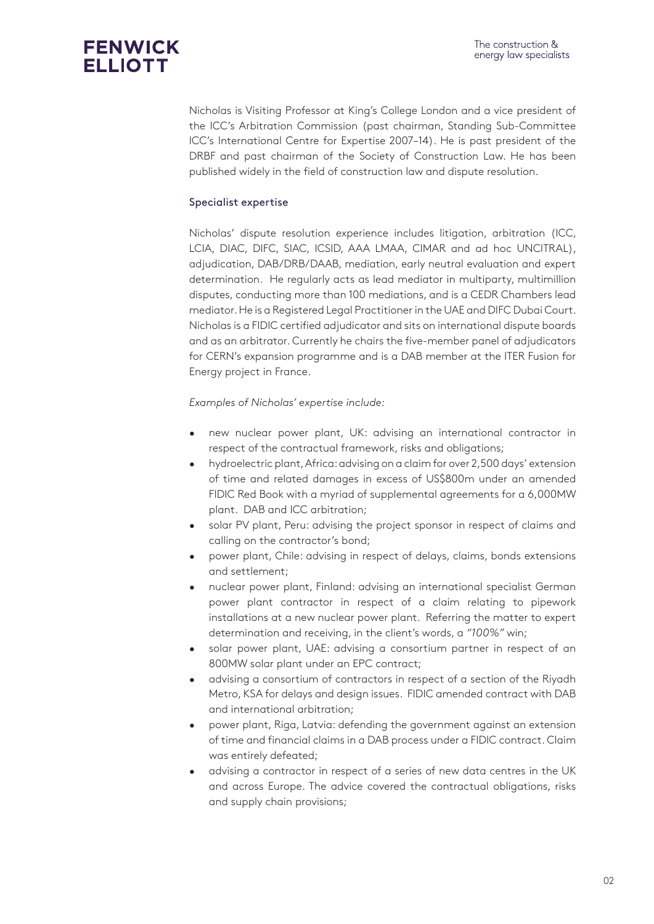Nicholas is Visiting Professor at King's College London and a vice president of the ICC's Arbitration Commission (past chairman, Standing Sub-Committee ICC's International Centre for Expertise 2007–14). He is past president of the DRBF and past chairman of the Society of Construction Law. He has been published widely in the field of construction law and dispute resolution.

### Specialist expertise

Nicholas' dispute resolution experience includes litigation, arbitration (ICC, LCIA, DIAC, DIFC, SIAC, ICSID, AAA LMAA, CIMAR and ad hoc UNCITRAL), adjudication, DAB/DRB/DAAB, mediation, early neutral evaluation and expert determination. He regularly acts as lead mediator in multiparty, multimillion disputes, conducting more than 100 mediations, and is a CEDR Chambers lead mediator. He is a Registered Legal Practitioner in the UAE and DIFC Dubai Court. Nicholas is a FIDIC certified adjudicator and sits on international dispute boards and as an arbitrator. Currently he chairs the five-member panel of adjudicators for CERN's expansion programme and is a DAB member at the ITER Fusion for Energy project in France.

#### *Examples of Nicholas' expertise include:*

- new nuclear power plant, UK: advising an international contractor in respect of the contractual framework, risks and obligations;
- hydroelectric plant, Africa: advising on a claim for over 2,500 days' extension of time and related damages in excess of US\$800m under an amended FIDIC Red Book with a myriad of supplemental agreements for a 6,000MW plant. DAB and ICC arbitration;
- solar PV plant, Peru: advising the project sponsor in respect of claims and calling on the contractor's bond;
- power plant, Chile: advising in respect of delays, claims, bonds extensions and settlement;
- nuclear power plant, Finland: advising an international specialist German power plant contractor in respect of a claim relating to pipework installations at a new nuclear power plant. Referring the matter to expert determination and receiving, in the client's words, a *"100%"* win;
- solar power plant, UAE: advising a consortium partner in respect of an 800MW solar plant under an EPC contract;
- advising a consortium of contractors in respect of a section of the Riyadh Metro, KSA for delays and design issues. FIDIC amended contract with DAB and international arbitration;
- power plant, Riga, Latvia: defending the government against an extension of time and financial claims in a DAB process under a FIDIC contract. Claim was entirely defeated;
- advising a contractor in respect of a series of new data centres in the UK and across Europe. The advice covered the contractual obligations, risks and supply chain provisions;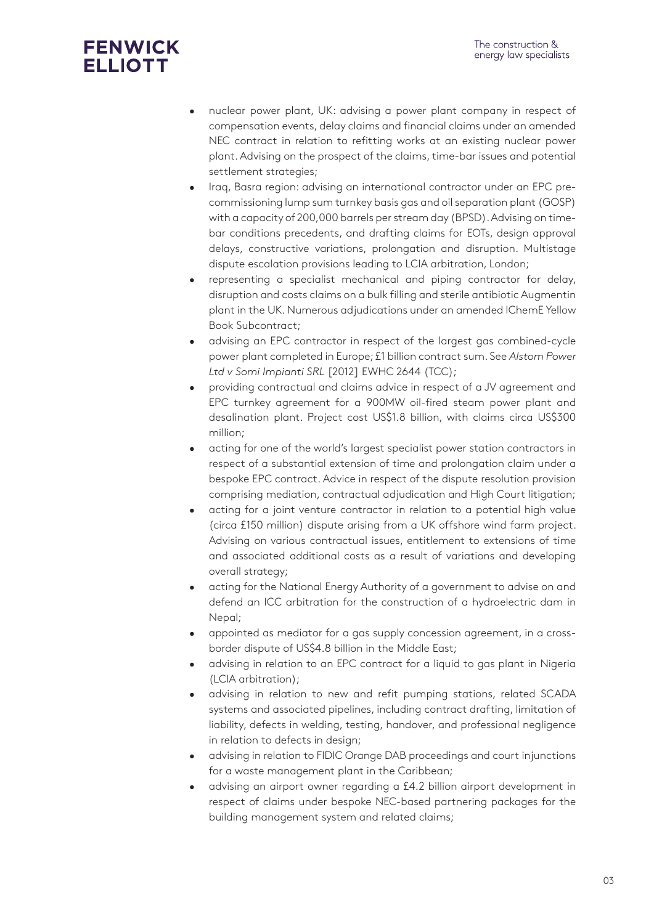# **FENWICK ELLIOTT**

- nuclear power plant, UK: advising a power plant company in respect of compensation events, delay claims and financial claims under an amended NEC contract in relation to refitting works at an existing nuclear power plant. Advising on the prospect of the claims, time-bar issues and potential settlement strategies;
- Iraq, Basra region: advising an international contractor under an EPC precommissioning lump sum turnkey basis gas and oil separation plant (GOSP) with a capacity of 200,000 barrels per stream day (BPSD). Advising on timebar conditions precedents, and drafting claims for EOTs, design approval delays, constructive variations, prolongation and disruption. Multistage dispute escalation provisions leading to LCIA arbitration, London;
- representing a specialist mechanical and piping contractor for delay, disruption and costs claims on a bulk filling and sterile antibiotic Augmentin plant in the UK. Numerous adjudications under an amended IChemE Yellow Book Subcontract;
- advising an EPC contractor in respect of the largest gas combined-cycle power plant completed in Europe; £1 billion contract sum. See *Alstom Power Ltd v Somi Impianti SRL* [2012] EWHC 2644 (TCC);
- providing contractual and claims advice in respect of a JV agreement and EPC turnkey agreement for a 900MW oil-fired steam power plant and desalination plant. Project cost US\$1.8 billion, with claims circa US\$300 million;
- acting for one of the world's largest specialist power station contractors in respect of a substantial extension of time and prolongation claim under a bespoke EPC contract. Advice in respect of the dispute resolution provision comprising mediation, contractual adjudication and High Court litigation;
- acting for a joint venture contractor in relation to a potential high value (circa £150 million) dispute arising from a UK offshore wind farm project. Advising on various contractual issues, entitlement to extensions of time and associated additional costs as a result of variations and developing overall strategy;
- acting for the National Energy Authority of a government to advise on and defend an ICC arbitration for the construction of a hydroelectric dam in Nepal;
- appointed as mediator for a gas supply concession agreement, in a crossborder dispute of US\$4.8 billion in the Middle East;
- advising in relation to an EPC contract for a liquid to gas plant in Nigeria (LCIA arbitration);
- advising in relation to new and refit pumping stations, related SCADA systems and associated pipelines, including contract drafting, limitation of liability, defects in welding, testing, handover, and professional negligence in relation to defects in design;
- advising in relation to FIDIC Orange DAB proceedings and court injunctions for a waste management plant in the Caribbean;
- advising an airport owner regarding a £4.2 billion airport development in respect of claims under bespoke NEC-based partnering packages for the building management system and related claims;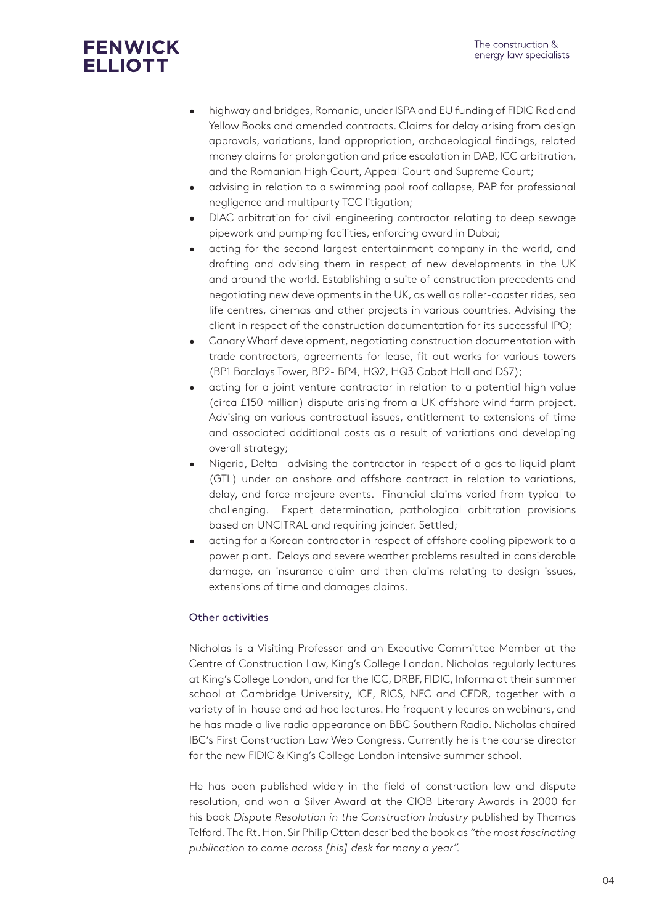# **FENWICK ELLIOTT**

- highway and bridges, Romania, under ISPA and EU funding of FIDIC Red and Yellow Books and amended contracts. Claims for delay arising from design approvals, variations, land appropriation, archaeological findings, related money claims for prolongation and price escalation in DAB, ICC arbitration, and the Romanian High Court, Appeal Court and Supreme Court;
- advising in relation to a swimming pool roof collapse, PAP for professional negligence and multiparty TCC litigation;
- DIAC arbitration for civil engineering contractor relating to deep sewage pipework and pumping facilities, enforcing award in Dubai;
- acting for the second largest entertainment company in the world, and drafting and advising them in respect of new developments in the UK and around the world. Establishing a suite of construction precedents and negotiating new developments in the UK, as well as roller-coaster rides, sea life centres, cinemas and other projects in various countries. Advising the client in respect of the construction documentation for its successful IPO;
- Canary Wharf development, negotiating construction documentation with trade contractors, agreements for lease, fit-out works for various towers (BP1 Barclays Tower, BP2- BP4, HQ2, HQ3 Cabot Hall and DS7);
- acting for a joint venture contractor in relation to a potential high value (circa £150 million) dispute arising from a UK offshore wind farm project. Advising on various contractual issues, entitlement to extensions of time and associated additional costs as a result of variations and developing overall strategy;
- Nigeria, Delta advising the contractor in respect of a gas to liquid plant (GTL) under an onshore and offshore contract in relation to variations, delay, and force majeure events. Financial claims varied from typical to challenging. Expert determination, pathological arbitration provisions based on UNCITRAL and requiring joinder. Settled;
- acting for a Korean contractor in respect of offshore cooling pipework to a power plant. Delays and severe weather problems resulted in considerable damage, an insurance claim and then claims relating to design issues, extensions of time and damages claims.

### Other activities

Nicholas is a Visiting Professor and an Executive Committee Member at the Centre of Construction Law, King's College London. Nicholas regularly lectures at King's College London, and for the ICC, DRBF, FIDIC, Informa at their summer school at Cambridge University, ICE, RICS, NEC and CEDR, together with a variety of in-house and ad hoc lectures. He frequently lecures on webinars, and he has made a live radio appearance on BBC Southern Radio. Nicholas chaired IBC's First Construction Law Web Congress. Currently he is the course director for the new FIDIC & King's College London intensive summer school.

He has been published widely in the field of construction law and dispute resolution, and won a Silver Award at the CIOB Literary Awards in 2000 for his book *Dispute Resolution in the Construction Industry* published by Thomas Telford. The Rt. Hon. Sir Philip Otton described the book as *"the most fascinating publication to come across [his] desk for many a year".*